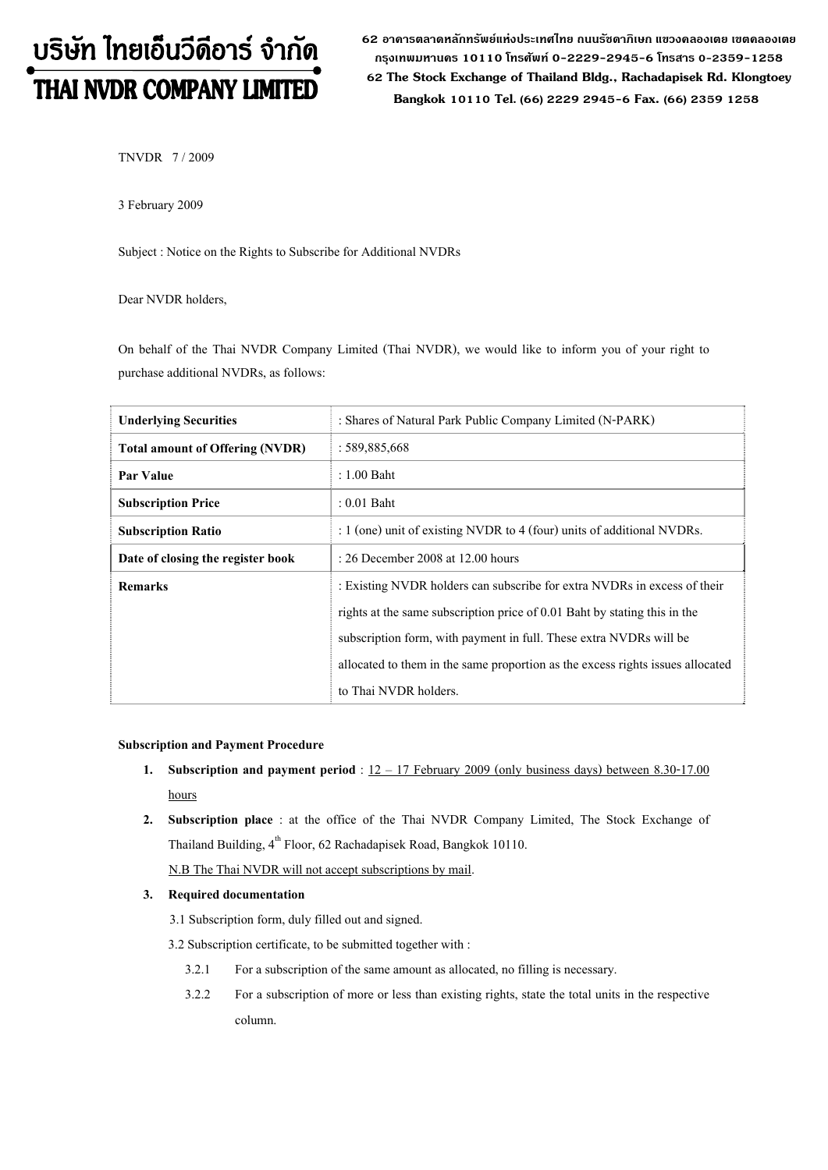# บริษัท ไทยเอ็นวีดีอาร์ จำกัด THAI NVDR COMPANY LIMITED

**62 อาคารตลาดหลักทรัพยแหงประเทศไทย ถนนรัชดาภิเษก แขวงคลองเตย เขตคลองเตย กรุงเทพมหานคร 10110 โทรศัพท 0-2229-2945-6 โทรสาร 0-2359-1258 62 The Stock Exchange of Thailand Bldg., Rachadapisek Rd. Klongtoey Bangkok 10110 Tel. (66) 2229 2945-6 Fax. (66) 2359 1258**

TNVDR 7 / 2009

3 February 2009

Subject : Notice on the Rights to Subscribe for Additional NVDRs

Dear NVDR holders,

On behalf of the Thai NVDR Company Limited (Thai NVDR), we would like to inform you of your right to purchase additional NVDRs, as follows:

| <b>Underlying Securities</b>           | : Shares of Natural Park Public Company Limited (N-PARK)                       |  |  |  |
|----------------------------------------|--------------------------------------------------------------------------------|--|--|--|
| <b>Total amount of Offering (NVDR)</b> | : 589,885,668                                                                  |  |  |  |
| Par Value                              | $: 1.00$ Baht                                                                  |  |  |  |
| <b>Subscription Price</b>              | $: 0.01$ Baht                                                                  |  |  |  |
| <b>Subscription Ratio</b>              | : 1 (one) unit of existing NVDR to 4 (four) units of additional NVDRs.         |  |  |  |
| Date of closing the register book      | $: 26$ December 2008 at 12.00 hours                                            |  |  |  |
| <b>Remarks</b>                         | : Existing NVDR holders can subscribe for extra NVDRs in excess of their       |  |  |  |
|                                        | rights at the same subscription price of 0.01 Baht by stating this in the      |  |  |  |
|                                        | subscription form, with payment in full. These extra NVDRs will be             |  |  |  |
|                                        | allocated to them in the same proportion as the excess rights issues allocated |  |  |  |
|                                        | to Thai NVDR holders.                                                          |  |  |  |

## **Subscription and Payment Procedure**

- **1. Subscription and payment period** : 12 17 February 2009 (only business days) between 8.30-17.00 hours
- **2. Subscription place** : at the office of the Thai NVDR Company Limited, The Stock Exchange of Thailand Building,  $4^{th}$  Floor, 62 Rachadapisek Road, Bangkok 10110.

N.B The Thai NVDR will not accept subscriptions by mail.

## **3. Required documentation**

3.1 Subscription form, duly filled out and signed.

3.2 Subscription certificate, to be submitted together with :

- 3.2.1 For a subscription of the same amount as allocated, no filling is necessary.
- 3.2.2 For a subscription of more or less than existing rights, state the total units in the respective column.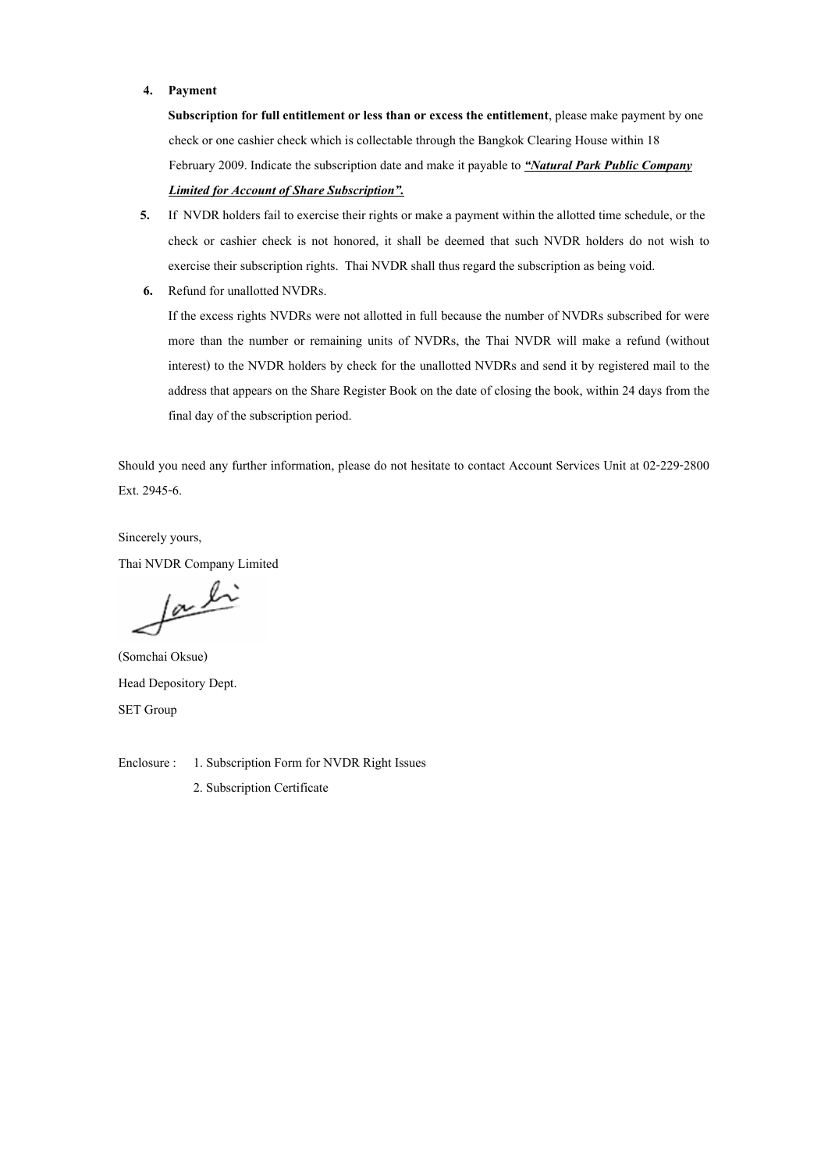#### **4. Payment**

**Subscription for full entitlement or less than or excess the entitlement**, please make payment by onecheck or one cashier check which is collectable through the Bangkok Clearing House within 18 February 2009. Indicate the subscription date and make it payable to *"Natural Park Public Company Limited for Account of Share Subscription".*

- **5.** If NVDR holders fail to exercise their rights or make a payment within the allotted time schedule, or the check or cashier check is not honored, it shall be deemed that such NVDR holders do not wish to exercise their subscription rights. Thai NVDR shall thus regard the subscription as being void.
- **6.** Refund for unallotted NVDRs.

If the excess rights NVDRs were not allotted in full because the number of NVDRs subscribed for were more than the number or remaining units of NVDRs, the Thai NVDR will make a refund (without interest) to the NVDR holders by check for the unallotted NVDRs and send it by registered mail to the address that appears on the Share Register Book on the date of closing the book, within 24 days from the final day of the subscription period.

Should you need any further information, please do not hesitate to contact Account Services Unit at 02-229-2800 Ext. 2945-6.

Sincerely yours, Thai NVDR Company Limited

faction

(Somchai Oksue) Head Depository Dept. SET Group

Enclosure : 1. Subscription Form for NVDR Right Issues

2. Subscription Certificate